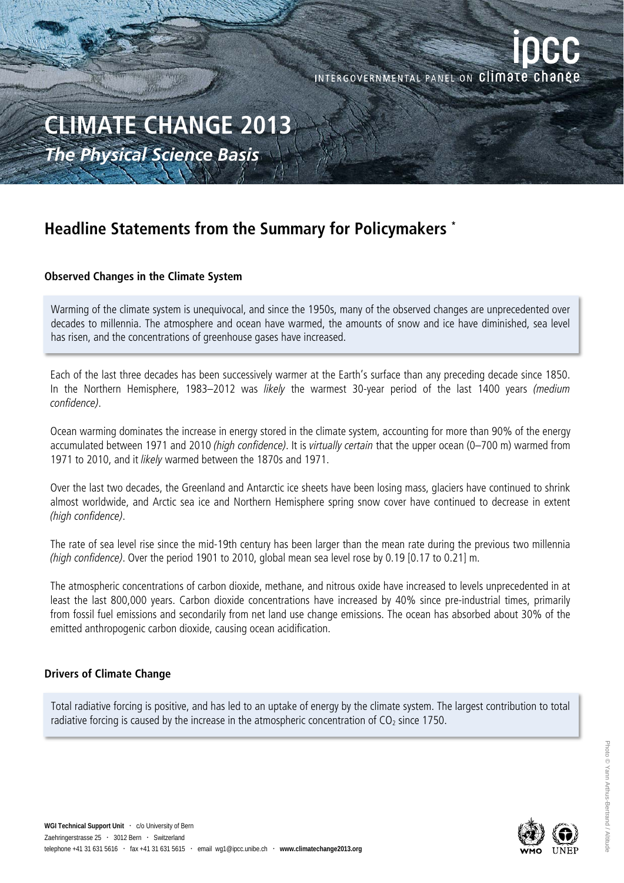INTERGOVERNMENTAL PANEL ON Climate change

# **CLIMATE CHANGE 2013**  *The Physical Science Basis*

# **Headline Statements from the Summary for Policymakers \***

## **Observed Changes in the Climate System**

Warming of the climate system is unequivocal, and since the 1950s, many of the observed changes are unprecedented over decades to millennia. The atmosphere and ocean have warmed, the amounts of snow and ice have diminished, sea level has risen, and the concentrations of greenhouse gases have increased.

Each of the last three decades has been successively warmer at the Earth's surface than any preceding decade since 1850. In the Northern Hemisphere, 1983–2012 was likely the warmest 30-year period of the last 1400 years (medium confidence).

Ocean warming dominates the increase in energy stored in the climate system, accounting for more than 90% of the energy accumulated between 1971 and 2010 (high confidence). It is virtually certain that the upper ocean (0–700 m) warmed from 1971 to 2010, and it likely warmed between the 1870s and 1971.

Over the last two decades, the Greenland and Antarctic ice sheets have been losing mass, glaciers have continued to shrink almost worldwide, and Arctic sea ice and Northern Hemisphere spring snow cover have continued to decrease in extent (high confidence).

The rate of sea level rise since the mid-19th century has been larger than the mean rate during the previous two millennia (high confidence). Over the period 1901 to 2010, global mean sea level rose by 0.19 [0.17 to 0.21] m.

The atmospheric concentrations of carbon dioxide, methane, and nitrous oxide have increased to levels unprecedented in at least the last 800,000 years. Carbon dioxide concentrations have increased by 40% since pre-industrial times, primarily from fossil fuel emissions and secondarily from net land use change emissions. The ocean has absorbed about 30% of the emitted anthropogenic carbon dioxide, causing ocean acidification.

## **Drivers of Climate Change**

Total radiative forcing is positive, and has led to an uptake of energy by the climate system. The largest contribution to total radiative forcing is caused by the increase in the atmospheric concentration of  $CO<sub>2</sub>$  since 1750.